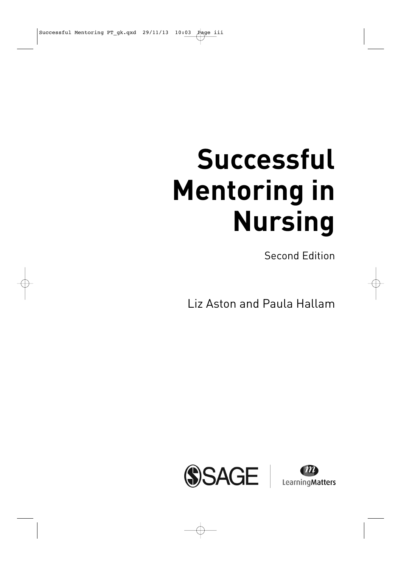# **Successful Mentoring in Nursing**

Second Edition

Liz Aston and Paula Hallam



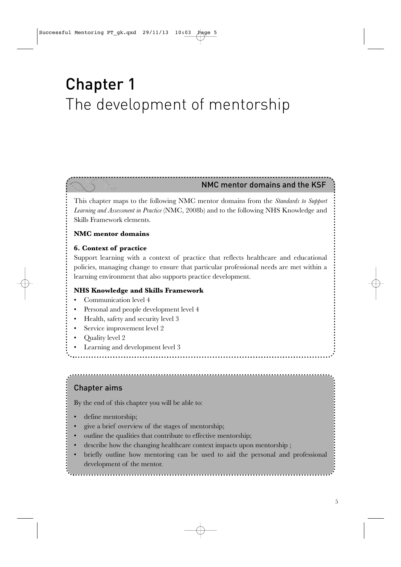## Chapter 1 The development of mentorship

### NMC mentor domains and the KSF

This chapter maps to the following NMC mentor domains from the *Standards to Support Learning and Assessment in Practice* (NMC, 2008b) and to the following NHS Knowledge and Skills Framework elements.

#### **NMC mentor domains**

#### **6. Context of practice**

Support learning with a context of practice that reflects healthcare and educational policies, managing change to ensure that particular professional needs are met within a learning environment that also supports practice development.

#### **NHS Knowledge and Skills Framework**

- Communication level 4
- Personal and people development level 4
- Health, safety and security level 3
- Service improvement level 2
- Quality level 2
- Learning and development level 3

#### Chapter aims

By the end of this chapter you will be able to:

- define mentorship;
- give a brief overview of the stages of mentorship;
- outline the qualities that contribute to effective mentorship;
- describe how the changing healthcare context impacts upon mentorship;
- briefly outline how mentoring can be used to aid the personal and professional development of the mentor.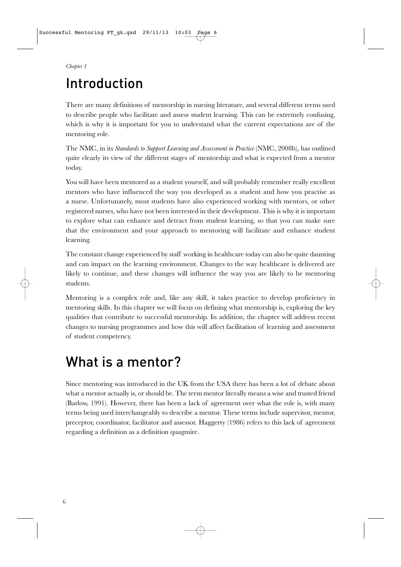## Introduction

There are many definitions of mentorship in nursing literature, and several different terms used to describe people who facilitate and assess student learning. This can be extremely confusing, which is why it is important for you to understand what the current expectations are of the mentoring role.

The NMC, in its *Standards to Support Learning and Assessment in Practice* (NMC, 2008b), has outlined quite clearly its view of the different stages of mentorship and what is expected from a mentor today.

You will have been mentored as a student yourself, and will probably remember really excellent mentors who have influenced the way you developed as a student and how you practise as a nurse. Unfortunately, most students have also experienced working with mentors, or other registered nurses, who have not been interested in their development. This is why it is important to explore what can enhance and detract from student learning, so that you can make sure that the environment and your approach to mentoring will facilitate and enhance student learning.

The constant change experienced by staff working in healthcare today can also be quite daunting and can impact on the learning environment. Changes to the way healthcare is delivered are likely to continue, and these changes will influence the way you are likely to be mentoring students.

Mentoring is a complex role and, like any skill, it takes practice to develop proficiency in mentoring skills. In this chapter we will focus on defining what mentorship is, exploring the key qualities that contribute to successful mentorship. In addition, the chapter will address recent changes to nursing programmes and how this will affect facilitation of learning and assessment of student competency.

## What is a mentor?

Since mentoring was introduced in the UK from the USA there has been a lot of debate about what a mentor actually is, or should be. The term mentor literally means a wise and trusted friend (Barlow, 1991). However, there has been a lack of agreement over what the role is, with many terms being used interchangeably to describe a mentor. These terms include supervisor, mentor, preceptor, coordinator, facilitator and assessor. Haggerty (1986) refers to this lack of agreement regarding a definition as a definition quagmire.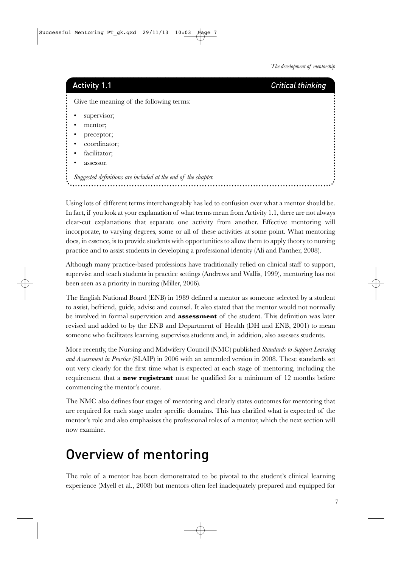

Using lots of different terms interchangeably has led to confusion over what a mentor should be. In fact, if you look at your explanation of what terms mean from Activity 1.1, there are not always clear-cut explanations that separate one activity from another. Effective mentoring will incorporate, to varying degrees, some or all of these activities at some point. What mentoring does, in essence, is to provide students with opportunities to allow them to apply theory to nursing practice and to assist students in developing a professional identity (Ali and Panther, 2008).

Although many practice-based professions have traditionally relied on clinical staff to support, supervise and teach students in practice settings (Andrews and Wallis, 1999), mentoring has not been seen as a priority in nursing (Miller, 2006).

The English National Board (ENB) in 1989 defined a mentor as someone selected by a student to assist, befriend, guide, advise and counsel. It also stated that the mentor would not normally be involved in formal supervision and **assessment** of the student. This definition was later revised and added to by the ENB and Department of Health (DH and ENB, 2001) to mean someone who facilitates learning, supervises students and, in addition, also assesses students.

More recently, the Nursing and Midwifery Council (NMC) published *Standards to Support Learning and Assessment in Practice* (SLAIP) in 2006 with an amended version in 2008. These standards set out very clearly for the first time what is expected at each stage of mentoring, including the requirement that a **new registrant** must be qualified for a minimum of 12 months before commencing the mentor's course.

The NMC also defines four stages of mentoring and clearly states outcomes for mentoring that are required for each stage under specific domains. This has clarified what is expected of the mentor's role and also emphasises the professional roles of a mentor, which the next section will now examine.

## Overview of mentoring

The role of a mentor has been demonstrated to be pivotal to the student's clinical learning experience (Myell et al., 2008) but mentors often feel inadequately prepared and equipped for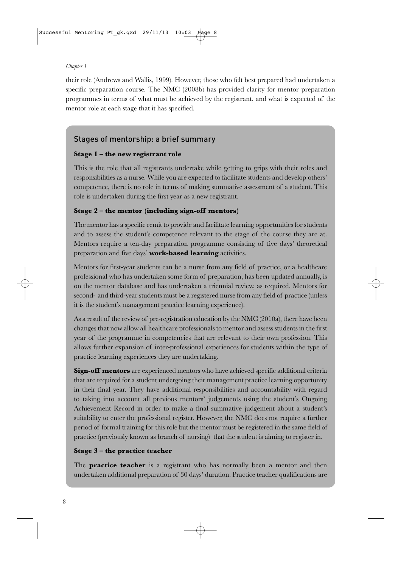their role (Andrews and Wallis, 1999). However, those who felt best prepared had undertaken a specific preparation course. The NMC (2008b) has provided clarity for mentor preparation programmes in terms of what must be achieved by the registrant, and what is expected of the mentor role at each stage that it has specified.

#### Stages of mentorship: a brief summary

#### **Stage 1 – the new registrant role**

This is the role that all registrants undertake while getting to grips with their roles and responsibilities as a nurse. While you are expected to facilitate students and develop others' competence, there is no role in terms of making summative assessment of a student. This role is undertaken during the first year as a new registrant.

#### **Stage 2 – the mentor (including sign-off mentors)**

The mentor has a specific remit to provide and facilitate learning opportunities for students and to assess the student's competence relevant to the stage of the course they are at. Mentors require a ten-day preparation programme consisting of five days' theoretical preparation and five days' **work-based learning** activities.

Mentors for first-year students can be a nurse from any field of practice, or a healthcare professional who has undertaken some form of preparation, has been updated annually, is on the mentor database and has undertaken a triennial review, as required. Mentors for second- and third-year students must be a registered nurse from any field of practice (unless it is the student's management practice learning experience).

As a result of the review of pre-registration education by the NMC (2010a), there have been changes that now allow all healthcare professionals to mentor and assess students in the first year of the programme in competencies that are relevant to their own profession. This allows further expansion of inter-professional experiences for students within the type of practice learning experiences they are undertaking.

**Sign-off mentors** are experienced mentors who have achieved specific additional criteria that are required for a student undergoing their management practice learning opportunity in their final year. They have additional responsibilities and accountability with regard to taking into account all previous mentors' judgements using the student's Ongoing Achievement Record in order to make a final summative judgement about a student's suitability to enter the professional register. However, the NMC does not require a further period of formal training for this role but the mentor must be registered in the same field of practice (previously known as branch of nursing) that the student is aiming to register in.

#### **Stage 3 – the practice teacher**

The **practice teacher** is a registrant who has normally been a mentor and then undertaken additional preparation of 30 days' duration. Practice teacher qualifications are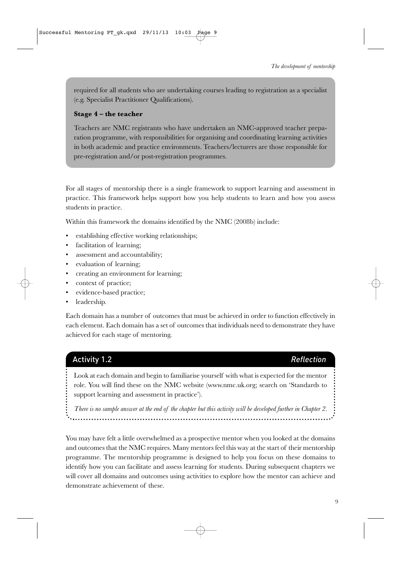required for all students who are undertaking courses leading to registration as a specialist (e.g. Specialist Practitioner Qualifications).

#### **Stage 4 – the teacher**

Teachers are NMC registrants who have undertaken an NMC-approved teacher preparation programme, with responsibilities for organising and coordinating learning activities in both academic and practice environments. Teachers/lecturers are those responsible for pre-registration and/or post-registration programmes.

For all stages of mentorship there is a single framework to support learning and assessment in practice. This framework helps support how you help students to learn and how you assess students in practice.

Within this framework the domains identified by the NMC (2008b) include:

- establishing effective working relationships;
- facilitation of learning;
- assessment and accountability;
- evaluation of learning;
- creating an environment for learning;
- context of practice;
- evidence-based practice;
- leadership.

Each domain has a number of outcomes that must be achieved in order to function effectively in each element. Each domain has a set of outcomes that individuals need to demonstrate they have achieved for each stage of mentoring.

#### Activity 1.2 *Reflection*

Look at each domain and begin to familiarise yourself with what is expected for the mentor role. You will find these on the NMC website (www.nmc.uk.org; search on 'Standards to support learning and assessment in practice').

*There is no sample answer at the end of the chapter but this activity will be developed further in Chapter 2.* 

You may have felt a little overwhelmed as a prospective mentor when you looked at the domains and outcomes that the NMC requires. Many mentors feel this way at the start of their mentorship programme. The mentorship programme is designed to help you focus on these domains to identify how you can facilitate and assess learning for students. During subsequent chapters we will cover all domains and outcomes using activities to explore how the mentor can achieve and demonstrate achievement of these.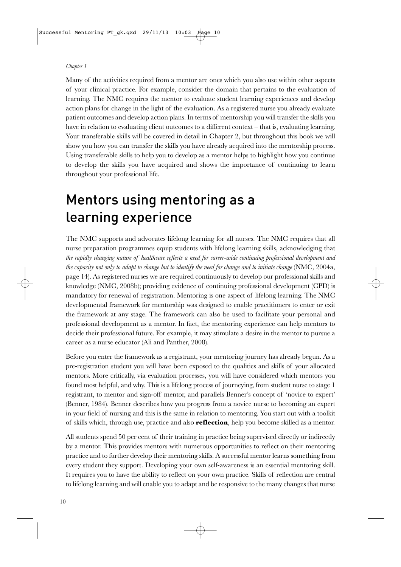Many of the activities required from a mentor are ones which you also use within other aspects of your clinical practice. For example, consider the domain that pertains to the evaluation of learning. The NMC requires the mentor to evaluate student learning experiences and develop action plans for change in the light of the evaluation. As a registered nurse you already evaluate patient outcomes and develop action plans. In terms of mentorship you will transfer the skills you have in relation to evaluating client outcomes to a different context – that is, evaluating learning. Your transferable skills will be covered in detail in Chapter 2, but throughout this book we will show you how you can transfer the skills you have already acquired into the mentorship process. Using transferable skills to help you to develop as a mentor helps to highlight how you continue to develop the skills you have acquired and shows the importance of continuing to learn throughout your professional life.

## Mentors using mentoring as a learning experience

The NMC supports and advocates lifelong learning for all nurses. The NMC requires that all nurse preparation programmes equip students with lifelong learning skills, acknowledging that *the rapidly changing nature of healthcare reflects a need for career-wide continuing professional development and the capacity not only to adapt to change but to identify the need for change and to initiate change* (NMC, 2004a, page 14). As registered nurses we are required continuously to develop our professional skills and knowledge (NMC, 2008b); providing evidence of continuing professional development (CPD) is mandatory for renewal of registration. Mentoring is one aspect of lifelong learning. The NMC developmental framework for mentorship was designed to enable practitioners to enter or exit the framework at any stage. The framework can also be used to facilitate your personal and professional development as a mentor. In fact, the mentoring experience can help mentors to decide their professional future. For example, it may stimulate a desire in the mentor to pursue a career as a nurse educator (Ali and Panther, 2008).

Before you enter the framework as a registrant, your mentoring journey has already begun. As a pre-registration student you will have been exposed to the qualities and skills of your allocated mentors. More critically, via evaluation processes, you will have considered which mentors you found most helpful, and why. This is a lifelong process of journeying, from student nurse to stage 1 registrant, to mentor and sign-off mentor, and parallels Benner's concept of 'novice to expert' (Benner, 1984). Benner describes how you progress from a novice nurse to becoming an expert in your field of nursing and this is the same in relation to mentoring. You start out with a toolkit of skills which, through use, practice and also **reflection**, help you become skilled as a mentor.

All students spend 50 per cent of their training in practice being supervised directly or indirectly by a mentor. This provides mentors with numerous opportunities to reflect on their mentoring practice and to further develop their mentoring skills. A successful mentor learns something from every student they support. Developing your own self-awareness is an essential mentoring skill. It requires you to have the ability to reflect on your own practice. Skills of reflection are central to lifelong learning and will enable you to adapt and be responsive to the many changes that nurse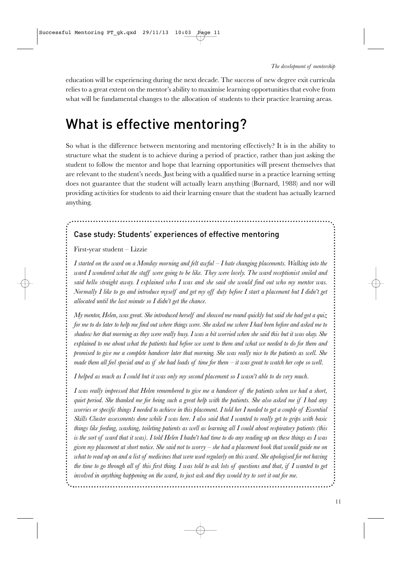education will be experiencing during the next decade. The success of new degree exit curricula relies to a great extent on the mentor's ability to maximise learning opportunities that evolve from what will be fundamental changes to the allocation of students to their practice learning areas.

## What is effective mentoring?

So what is the difference between mentoring and mentoring effectively? It is in the ability to structure what the student is to achieve during a period of practice, rather than just asking the student to follow the mentor and hope that learning opportunities will present themselves that are relevant to the student's needs. Just being with a qualified nurse in a practice learning setting does not guarantee that the student will actually learn anything (Burnard, 1988) and nor will providing activities for students to aid their learning ensure that the student has actually learned anything.

#### Case study: Students' experiences of effective mentoring

First-year student – Lizzie

*I started on the ward on a Monday morning and felt awful – I hate changing placements. Walking into the ward I wondered what the staff were going to be like. They were lovely. The ward receptionist smiled and said hello straight away. I explained who I was and she said she would find out who my mentor was. Normally I like to go and introduce myself and get my off duty before I start a placement but I didn't get allocated until the last minute so I didn't get the chance.*

*My mentor, Helen, was great. She introduced herself and showed me round quickly but said she had got a quiz for me to do later to help me find out where things were. She asked me where I had been before and asked me to shadow her that morning as they were really busy. I was a bit worried when she said this but it was okay. She explained to me about what the patients had before we went to them and what we needed to do for them and promised to give me a complete handover later that morning. She was really nice to the patients as well. She made them all feel special and as if she had loads of time for them – it was great to watch her cope so well.*

*I helped as much as I could but it was only my second placement so I wasn't able to do very much.*

*I was really impressed that Helen remembered to give me a handover of the patients when we had a short, quiet period. She thanked me for being such a great help with the patients. She also asked me if I had any worries or specific things I needed to achieve in this placement. I told her I needed to get a couple of Essential Skills Cluster assessments done while I was here. I also said that I wanted to really get to grips with basic things like feeding, washing, toileting patients as well as learning all I could about respiratory patients (this is the sort of ward that it was). I told Helen I hadn't had time to do any reading up on these things as I was given my placement at short notice. She said not to worry – she had a placement book that would guide me on what to read up on and a list of medicines that were used regularly on this ward. She apologised for not having the time to go through all of this first thing. I was told to ask lots of questions and that, if I wanted to get involved in anything happening on the ward, to just ask and they would try to sort it out for me.*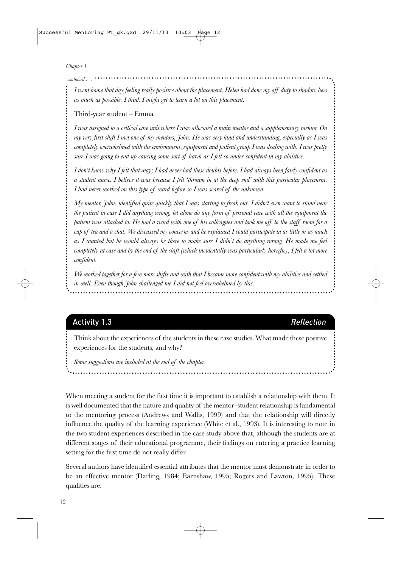*continued . . .*

*I went home that day feeling really positive about the placement. Helen had done my off duty to shadow hers as much as possible. I think I might get to learn a lot on this placement.*

Third-year student – Emma

*I was assigned to a critical care unit where I was allocated a main mentor and a supplementary mentor. On my very first shift I met one of my mentors, John. He was very kind and understanding, especially as I was completely overwhelmed with the environment, equipment and patient group I was dealing with. I was pretty sure I was going to end up causing some sort of harm as I felt so under-confident in my abilities.*

*I don't know why I felt that way; I had never had these doubts before. I had always been fairly confident as a student nurse. I believe it was because I felt 'thrown in at the deep end' with this particular placement. I had never worked on this type of ward before so I was scared of the unknown.*

*My mentor, John, identified quite quickly that I was starting to freak out. I didn't even want to stand near the patient in case I did anything wrong, let alone do any form of personal care with all the equipment the patient was attached to. He had a word with one of his colleagues and took me off to the staff room for a cup of tea and a chat. We discussed my concerns and he explained I could participate in as little or as much as I wanted but he would always be there to make sure I didn't do anything wrong. He made me feel completely at ease and by the end of the shift (which incidentally was particularly horrific), I felt a lot more confident.*

*We worked together for a few more shifts and with that I became more confident with my abilities and settled in well. Even though John challenged me I did not feel overwhelmed by this.*

#### Activity 1.3 *Reflection*

Think about the experiences of the students in these case studies. What made these positive experiences for the students, and why?

*Some suggestions are included at the end of the chapter.*

When meeting a student for the first time it is important to establish a relationship with them. It is well documented that the nature and quality of the mentor–student relationship is fundamental to the mentoring process (Andrews and Wallis, 1999) and that the relationship will directly influence the quality of the learning experience (White et al., 1993). It is interesting to note in the two student experiences described in the case study above that, although the students are at different stages of their educational programme, their feelings on entering a practice learning setting for the first time do not really differ.

Several authors have identified essential attributes that the mentor must demonstrate in order to be an effective mentor (Darling, 1984; Earnshaw, 1995; Rogers and Lawton, 1995). These qualities are: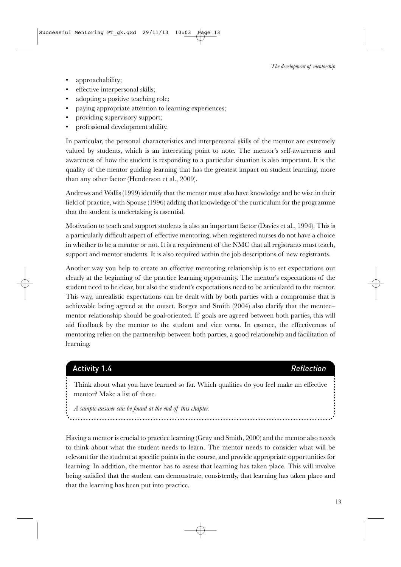- approachability;
- effective interpersonal skills;
- adopting a positive teaching role;
- paying appropriate attention to learning experiences;
- providing supervisory support;
- professional development ability.

In particular, the personal characteristics and interpersonal skills of the mentor are extremely valued by students, which is an interesting point to note. The mentor's self-awareness and awareness of how the student is responding to a particular situation is also important. It is the quality of the mentor guiding learning that has the greatest impact on student learning, more than any other factor (Henderson et al., 2009).

Andrews and Wallis (1999) identify that the mentor must also have knowledge and be wise in their field of practice, with Spouse (1996) adding that knowledge of the curriculum for the programme that the student is undertaking is essential.

Motivation to teach and support students is also an important factor (Davies et al., 1994). This is a particularly difficult aspect of effective mentoring, when registered nurses do not have a choice in whether to be a mentor or not. It is a requirement of the NMC that all registrants must teach, support and mentor students. It is also required within the job descriptions of new registrants.

Another way you help to create an effective mentoring relationship is to set expectations out clearly at the beginning of the practice learning opportunity. The mentor's expectations of the student need to be clear, but also the student's expectations need to be articulated to the mentor. This way, unrealistic expectations can be dealt with by both parties with a compromise that is achievable being agreed at the outset. Borges and Smith (2004) also clarify that the mentee– mentor relationship should be goal-oriented. If goals are agreed between both parties, this will aid feedback by the mentor to the student and vice versa. In essence, the effectiveness of mentoring relies on the partnership between both parties, a good relationship and facilitation of learning.

#### Activity 1.4 *Reflection*

Think about what you have learned so far. Which qualities do you feel make an effective mentor? Make a list of these.

*A sample answer can be found at the end of this chapter.*

Having a mentor is crucial to practice learning (Gray and Smith, 2000) and the mentor also needs to think about what the student needs to learn. The mentor needs to consider what will be relevant for the student at specific points in the course, and provide appropriate opportunities for learning. In addition, the mentor has to assess that learning has taken place. This will involve being satisfied that the student can demonstrate, consistently, that learning has taken place and that the learning has been put into practice.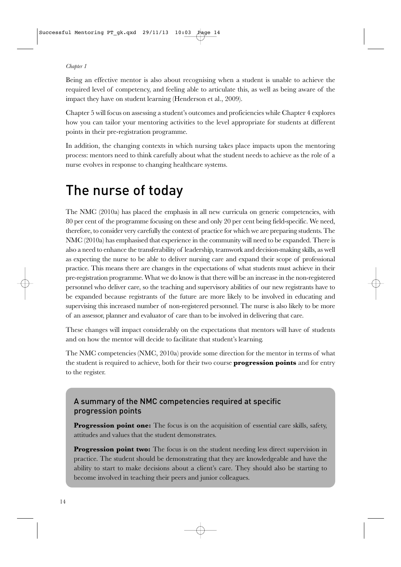Being an effective mentor is also about recognising when a student is unable to achieve the required level of competency, and feeling able to articulate this, as well as being aware of the impact they have on student learning (Henderson et al., 2009).

Chapter 5 will focus on assessing a student's outcomes and proficiencies while Chapter 4 explores how you can tailor your mentoring activities to the level appropriate for students at different points in their pre-registration programme.

In addition, the changing contexts in which nursing takes place impacts upon the mentoring process: mentors need to think carefully about what the student needs to achieve as the role of a nurse evolves in response to changing healthcare systems.

## The nurse of today

The NMC (2010a) has placed the emphasis in all new curricula on generic competencies, with 80 per cent of the programme focusing on these and only 20 per cent being field-specific. We need, therefore, to consider very carefully the context of practice for which we are preparing students. The NMC (2010a) has emphasised that experience in the community will need to be expanded. There is also a need to enhance the transferability of leadership, teamwork and decision-making skills, as well as expecting the nurse to be able to deliver nursing care and expand their scope of professional practice. This means there are changes in the expectations of what students must achieve in their pre-registration programme. What we do know is that there will be an increase in the non-registered personnel who deliver care, so the teaching and supervisory abilities of our new registrants have to be expanded because registrants of the future are more likely to be involved in educating and supervising this increased number of non-registered personnel. The nurse is also likely to be more of an assessor, planner and evaluator of care than to be involved in delivering that care.

These changes will impact considerably on the expectations that mentors will have of students and on how the mentor will decide to facilitate that student's learning.

The NMC competencies (NMC, 2010a) provide some direction for the mentor in terms of what the student is required to achieve, both for their two course **progression points** and for entry to the register.

#### A summary of the NMC competencies required at specific progression points

**Progression point one:** The focus is on the acquisition of essential care skills, safety, attitudes and values that the student demonstrates.

**Progression point two:** The focus is on the student needing less direct supervision in practice. The student should be demonstrating that they are knowledgeable and have the ability to start to make decisions about a client's care. They should also be starting to become involved in teaching their peers and junior colleagues.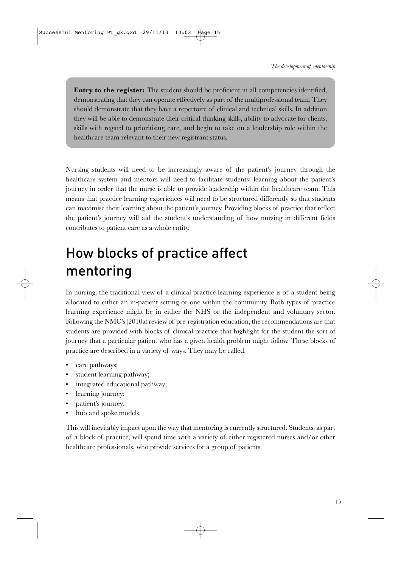**Entry to the register:** The student should be proficient in all competencies identified, demonstrating that they can operate effectively as part of the multiprofessional team. They should demonstrate that they have a repertoire of clinical and technical skills. In addition they will be able to demonstrate their critical thinking skills, ability to advocate for clients, skills with regard to prioritising care, and begin to take on a leadership role within the healthcare team relevant to their new registrant status.

Nursing students will need to be increasingly aware of the patient's journey through the healthcare system and mentors will need to facilitate students' learning about the patient's journey in order that the nurse is able to provide leadership within the healthcare team. This means that practice learning experiences will need to be structured differently so that students can maximise their learning about the patient's journey. Providing blocks of practice that reflect the patient's journey will aid the student's understanding of how nursing in different fields contributes to patient care as a whole entity.

## How blocks of practice affect mentoring

In nursing, the traditional view of a clinical practice learning experience is of a student being allocated to either an in-patient setting or one within the community. Both types of practice learning experience might be in either the NHS or the independent and voluntary sector. Following the NMC's (2010a) review of pre-registration education, the recommendations are that students are provided with blocks of clinical practice that highlight for the student the sort of journey that a particular patient who has a given health problem might follow. These blocks of practice are described in a variety of ways. They may be called:

- care pathways;
- student learning pathway;
- integrated educational pathway;
- learning journey;
- patient's journey;
- hub and spoke models.

This will inevitably impact upon the way that mentoring is currently structured. Students, as part of a block of practice, will spend time with a variety of either registered nurses and/or other healthcare professionals, who provide services for a group of patients.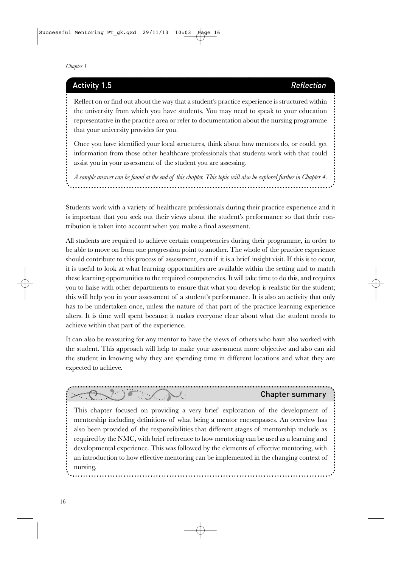#### Activity 1.5 *Reflection*

Reflect on or find out about the way that a student's practice experience is structured within the university from which you have students. You may need to speak to your education representative in the practice area or refer to documentation about the nursing programme that your university provides for you.

Once you have identified your local structures, think about how mentors do, or could, get information from those other healthcare professionals that students work with that could assist you in your assessment of the student you are assessing.

*A sample answer can be found at the end of this chapter. This topic will also be explored further in Chapter 4.* .....................................

Students work with a variety of healthcare professionals during their practice experience and it is important that you seek out their views about the student's performance so that their contribution is taken into account when you make a final assessment.

All students are required to achieve certain competencies during their programme, in order to be able to move on from one progression point to another. The whole of the practice experience should contribute to this process of assessment, even if it is a brief insight visit. If this is to occur, it is useful to look at what learning opportunities are available within the setting and to match these learning opportunities to the required competencies. It will take time to do this, and requires you to liaise with other departments to ensure that what you develop is realistic for the student; this will help you in your assessment of a student's performance. It is also an activity that only has to be undertaken once, unless the nature of that part of the practice learning experience alters. It is time well spent because it makes everyone clear about what the student needs to achieve within that part of the experience.

It can also be reassuring for any mentor to have the views of others who have also worked with the student. This approach will help to make your assessment more objective and also can aid the student in knowing why they are spending time in different locations and what they are expected to achieve.

#### Chapter summary

This chapter focused on providing a very brief exploration of the development of mentorship including definitions of what being a mentor encompasses. An overview has also been provided of the responsibilities that different stages of mentorship include as required by the NMC, with brief reference to how mentoring can be used as a learning and developmental experience. This was followed by the elements of effective mentoring, with an introduction to how effective mentoring can be implemented in the changing context of nursing.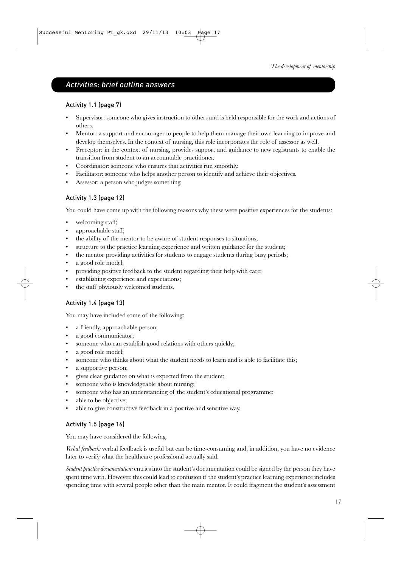#### *Activities: brief outline answers*

#### Activity 1.1 (page 7)

- Supervisor: someone who gives instruction to others and is held responsible for the work and actions of others.
- Mentor: a support and encourager to people to help them manage their own learning to improve and develop themselves. In the context of nursing, this role incorporates the role of assessor as well.
- Preceptor: in the context of nursing, provides support and guidance to new registrants to enable the transition from student to an accountable practitioner.
- Coordinator: someone who ensures that activities run smoothly.
- Facilitator: someone who helps another person to identify and achieve their objectives.
- Assessor: a person who judges something.

#### Activity 1.3 (page 12)

You could have come up with the following reasons why these were positive experiences for the students:

- welcoming staff;
- approachable staff;
- the ability of the mentor to be aware of student responses to situations;
- structure to the practice learning experience and written guidance for the student;
- the mentor providing activities for students to engage students during busy periods;
- a good role model;
- providing positive feedback to the student regarding their help with care;
- establishing experience and expectations;
- the staff obviously welcomed students.

#### Activity 1.4 (page 13)

You may have included some of the following:

- a friendly, approachable person;
- a good communicator;
- someone who can establish good relations with others quickly;
- a good role model;
- someone who thinks about what the student needs to learn and is able to facilitate this;
- a supportive person;
- gives clear guidance on what is expected from the student;
- someone who is knowledgeable about nursing;
- someone who has an understanding of the student's educational programme;
- able to be objective;
- able to give constructive feedback in a positive and sensitive way.

#### Activity 1.5 (page 16)

#### You may have considered the following.

*Verbal feedback:* verbal feedback is useful but can be time-consuming and, in addition, you have no evidence later to verify what the healthcare professional actually said.

*Student practice documentation:* entries into the student's documentation could be signed by the person they have spent time with. However, this could lead to confusion if the student's practice learning experience includes spending time with several people other than the main mentor. It could fragment the student's assessment